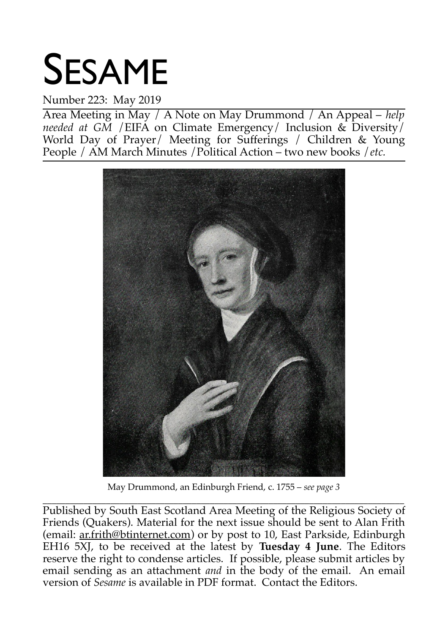# SESAME

# Number 223: May 2019

Area Meeting in May / A Note on May Drummond / An Appeal – *help needed at GM* /EIFA on Climate Emergency/ Inclusion & Diversity/ World Day of Prayer/ Meeting for Sufferings / Children & Young People / AM March Minutes /Political Action – two new books /*etc.*



May Drummond, an Edinburgh Friend, c. 1755 – *see page 3*

\_\_\_\_\_\_\_\_\_\_\_\_\_\_\_\_\_\_\_\_\_\_\_\_\_\_\_\_\_\_\_\_\_\_\_\_\_\_\_\_\_\_\_\_\_\_\_\_\_\_\_\_\_\_\_\_\_\_\_\_\_\_\_\_\_\_\_\_\_\_\_\_\_\_\_\_\_\_\_\_ Published by South East Scotland Area Meeting of the Religious Society of Friends (Quakers). Material for the next issue should be sent to Alan Frith (email: ar.frith@btinternet.com) or by post to 10, East Parkside, Edinburgh EH16 5XJ, to be received at the latest by **Tuesday 4 June**. The Editors reserve the right to condense articles. If possible, please submit articles by email sending as an attachment *and* in the body of the email. An email version of *Sesame* is available in PDF format. Contact the Editors.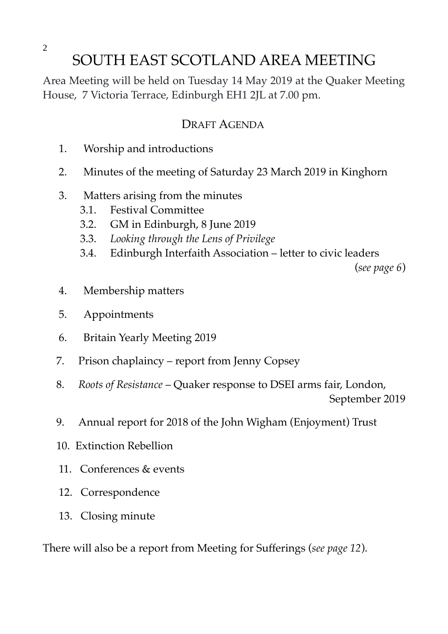# SOUTH EAST SCOTLAND AREA MEETING

Area Meeting will be held on Tuesday 14 May 2019 at the Quaker Meeting House, 7 Victoria Terrace, Edinburgh EH1 2JL at 7.00 pm.

## DRAFT AGENDA

- 1. Worship and introductions
- 2. Minutes of the meeting of Saturday 23 March 2019 in Kinghorn
- 3. Matters arising from the minutes
	- 3.1. Festival Committee
	- 3.2. GM in Edinburgh, 8 June 2019
	- 3.3. *Looking through the Lens of Privilege*
	- 3.4. Edinburgh Interfaith Association letter to civic leaders

(*see page 6*)

- 4. Membership matters
- 5. Appointments
- 6. Britain Yearly Meeting 2019
- 7. Prison chaplaincy report from Jenny Copsey
- 8. *Roots of Resistance* Quaker response to DSEI arms fair, London, September 2019
- 9. Annual report for 2018 of the John Wigham (Enjoyment) Trust
- 10. Extinction Rebellion
- 11. Conferences & events
- 12. Correspondence
- 13. Closing minute

There will also be a report from Meeting for Sufferings (*see page 12*).

2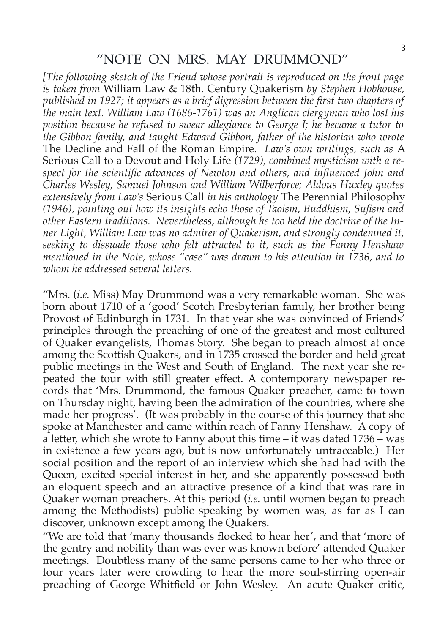## "NOTE ON MRS. MAY DRUMMOND"

*[The following sketch of the Friend whose portrait is reproduced on the front page is taken from* William Law & 18th. Century Quakerism *by Stephen Hobhouse, published in 1927; it appears as a brief digression between the first two chapters of the main text. William Law (1686-1761) was an Anglican clergyman who lost his position because he refused to swear allegiance to George I; he became a tutor to the Gibbon family, and taught Edward Gibbon, father of the historian who wrote* The Decline and Fall of the Roman Empire. *Law's own writings, such as* A Serious Call to a Devout and Holy Life *(1729), combined mysticism with a respect for the scientific advances of Newton and others, and influenced John and Charles Wesley, Samuel Johnson and William Wilberforce; Aldous Huxley quotes extensively from Law's* Serious Call *in his anthology* The Perennial Philosophy *(1946), pointing out how its insights echo those of Taoism, Buddhism, Sufism and other Eastern traditions. Nevertheless, although he too held the doctrine of the Inner Light, William Law was no admirer of Quakerism, and strongly condemned it, seeking to dissuade those who felt attracted to it, such as the Fanny Henshaw mentioned in the Note, whose "case" was drawn to his attention in 1736, and to whom he addressed several letters.* 

"Mrs. (*i.e.* Miss) May Drummond was a very remarkable woman. She was born about 1710 of a 'good' Scotch Presbyterian family, her brother being Provost of Edinburgh in 1731. In that year she was convinced of Friends' principles through the preaching of one of the greatest and most cultured of Quaker evangelists, Thomas Story. She began to preach almost at once among the Scottish Quakers, and in 1735 crossed the border and held great public meetings in the West and South of England. The next year she repeated the tour with still greater effect. A contemporary newspaper records that 'Mrs. Drummond, the famous Quaker preacher, came to town on Thursday night, having been the admiration of the countries, where she made her progress'. (It was probably in the course of this journey that she spoke at Manchester and came within reach of Fanny Henshaw. A copy of a letter, which she wrote to Fanny about this time – it was dated 1736 – was in existence a few years ago, but is now unfortunately untraceable.) Her social position and the report of an interview which she had had with the Queen, excited special interest in her, and she apparently possessed both an eloquent speech and an attractive presence of a kind that was rare in Quaker woman preachers. At this period (*i.e.* until women began to preach among the Methodists) public speaking by women was, as far as I can discover, unknown except among the Quakers.

"We are told that 'many thousands flocked to hear her', and that 'more of the gentry and nobility than was ever was known before' attended Quaker meetings. Doubtless many of the same persons came to her who three or four years later were crowding to hear the more soul-stirring open-air preaching of George Whitfield or John Wesley. An acute Quaker critic,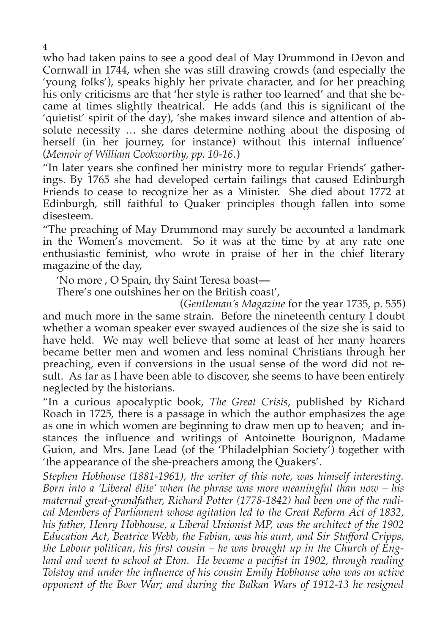who had taken pains to see a good deal of May Drummond in Devon and Cornwall in 1744, when she was still drawing crowds (and especially the 'young folks'), speaks highly her private character, and for her preaching his only criticisms are that 'her style is rather too learned' and that she became at times slightly theatrical. He adds (and this is significant of the 'quietist' spirit of the day), 'she makes inward silence and attention of absolute necessity … she dares determine nothing about the disposing of herself (in her journey, for instance) without this internal influence' (*Memoir of William Cookworthy, pp. 10-16.*)

"In later years she confined her ministry more to regular Friends' gatherings. By 1765 she had developed certain failings that caused Edinburgh Friends to cease to recognize her as a Minister. She died about 1772 at Edinburgh, still faithful to Quaker principles though fallen into some disesteem.

"The preaching of May Drummond may surely be accounted a landmark in the Women's movement. So it was at the time by at any rate one enthusiastic feminist, who wrote in praise of her in the chief literary magazine of the day,

'No more , O Spain, thy Saint Teresa boast**—**

There's one outshines her on the British coast',

(*Gentleman's Magazine* for the year 1735, p. 555) and much more in the same strain. Before the nineteenth century I doubt whether a woman speaker ever swayed audiences of the size she is said to have held. We may well believe that some at least of her many hearers became better men and women and less nominal Christians through her preaching, even if conversions in the usual sense of the word did not result. As far as I have been able to discover, she seems to have been entirely neglected by the historians.

"In a curious apocalyptic book, *The Great Crisis*, published by Richard Roach in 1725, there is a passage in which the author emphasizes the age as one in which women are beginning to draw men up to heaven; and instances the influence and writings of Antoinette Bourignon, Madame Guion, and Mrs. Jane Lead (of the 'Philadelphian Society') together with 'the appearance of the she-preachers among the Quakers'.

*Stephen Hobhouse (1881-1961), the writer of this note, was himself interesting. Born into a 'Liberal élite' when the phrase was more meaningful than now – his maternal great-grandfather, Richard Potter (1778-1842) had been one of the radical Members of Parliament whose agitation led to the Great Reform Act of 1832, his father, Henry Hobhouse, a Liberal Unionist MP, was the architect of the 1902 Education Act, Beatrice Webb, the Fabian, was his aunt, and Sir Stafford Cripps, the Labour politican, his first cousin – he was brought up in the Church of England and went to school at Eton. He became a pacifist in 1902, through reading Tolstoy and under the influence of his cousin Emily Hobhouse who was an active opponent of the Boer War; and during the Balkan Wars of 1912-13 he resigned*

4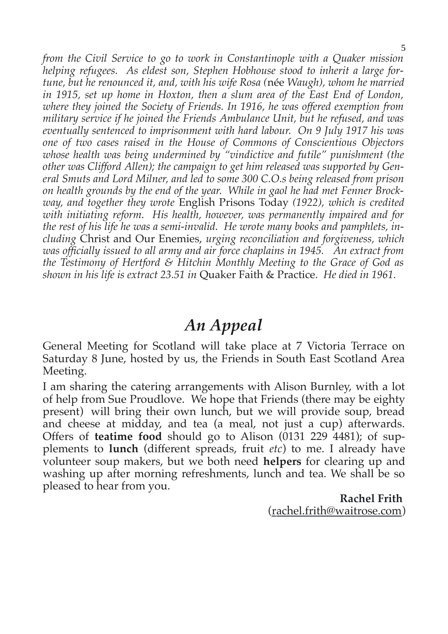*from the Civil Service to go to work in Constantinople with a Quaker mission helping refugees. As eldest son, Stephen Hobhouse stood to inherit a large fortune, but he renounced it, and, with his wife Rosa (*née *Waugh), whom he married in 1915, set up home in Hoxton, then a slum area of the East End of London, where they joined the Society of Friends. In 1916, he was offered exemption from military service if he joined the Friends Ambulance Unit, but he refused, and was eventually sentenced to imprisonment with hard labour. On 9 July 1917 his was one of two cases raised in the House of Commons of Conscientious Objectors whose health was being undermined by "vindictive and futile" punishment (the other was Clifford Allen); the campaign to get him released was supported by General Smuts and Lord Milner, and led to some 300 C.O.s being released from prison on health grounds by the end of the year. While in gaol he had met Fenner Brockway, and together they wrote* English Prisons Today *(1922), which is credited with initiating reform. His health, however, was permanently impaired and for the rest of his life he was a semi-invalid. He wrote many books and pamphlets, including* Christ and Our Enemies, *urging reconciliation and forgiveness, which was officially issued to all army and air force chaplains in 1945. An extract from the Testimony of Hertford & Hitchin Monthly Meeting to the Grace of God as shown in his life is extract 23.51 in* Quaker Faith & Practice. *He died in 1961.*

# *An Appeal*

General Meeting for Scotland will take place at 7 Victoria Terrace on Saturday 8 June, hosted by us, the Friends in South East Scotland Area Meeting.

I am sharing the catering arrangements with Alison Burnley, with a lot of help from Sue Proudlove. We hope that Friends (there may be eighty present) will bring their own lunch, but we will provide soup, bread and cheese at midday, and tea (a meal, not just a cup) afterwards. Offers of **teatime food** should go to Alison (0131 229 4481); of supplements to **lunch** (different spreads, fruit *etc*) to me. I already have volunteer soup makers, but we both need **helpers** for clearing up and washing up after morning refreshments, lunch and tea. We shall be so pleased to hear from you.

**Rachel Frith**  (rachel.frith@waitrose.com)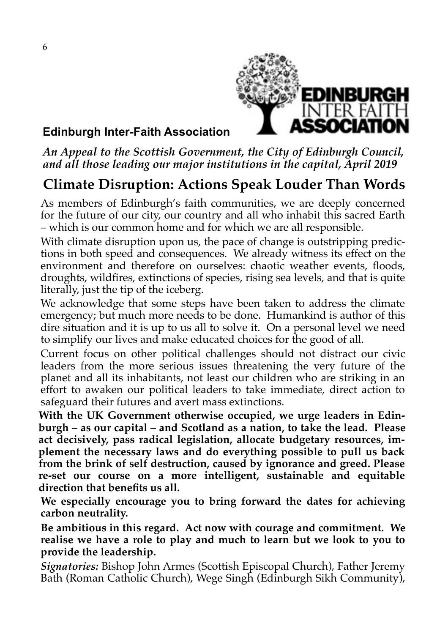

## **Edinburgh Inter-Faith Association**

## *An Appeal to the Scottish Government, the City of Edinburgh Council, and all those leading our major institutions in the capital, April 2019*

# **Climate Disruption: Actions Speak Louder Than Words**

As members of Edinburgh's faith communities, we are deeply concerned for the future of our city, our country and all who inhabit this sacred Earth – which is our common home and for which we are all responsible.

With climate disruption upon us, the pace of change is outstripping predictions in both speed and consequences. We already witness its effect on the environment and therefore on ourselves: chaotic weather events, floods, droughts, wildfires, extinctions of species, rising sea levels, and that is quite literally, just the tip of the iceberg.

We acknowledge that some steps have been taken to address the climate emergency; but much more needs to be done. Humankind is author of this dire situation and it is up to us all to solve it. On a personal level we need to simplify our lives and make educated choices for the good of all.

Current focus on other political challenges should not distract our civic leaders from the more serious issues threatening the very future of the planet and all its inhabitants, not least our children who are striking in an effort to awaken our political leaders to take immediate, direct action to safeguard their futures and avert mass extinctions.

**With the UK Government otherwise occupied, we urge leaders in Edinburgh – as our capital – and Scotland as a nation, to take the lead. Please act decisively, pass radical legislation, allocate budgetary resources, implement the necessary laws and do everything possible to pull us back from the brink of self destruction, caused by ignorance and greed. Please re-set our course on a more intelligent, sustainable and equitable direction that benefits us all.** 

**We especially encourage you to bring forward the dates for achieving carbon neutrality.** 

**Be ambitious in this regard. Act now with courage and commitment. We realise we have a role to play and much to learn but we look to you to provide the leadership.**

*Signatories:* Bishop John Armes (Scottish Episcopal Church), Father Jeremy Bath (Roman Catholic Church), Wege Singh (Edinburgh Sikh Community),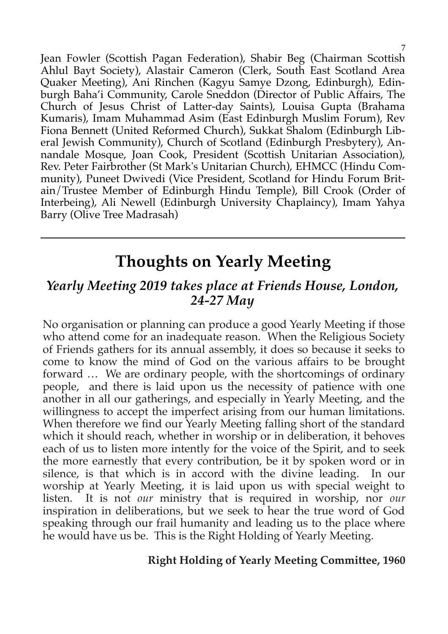Jean Fowler (Scottish Pagan Federation), Shabir Beg (Chairman Scottish Ahlul Bayt Society), Alastair Cameron (Clerk, South East Scotland Area Quaker Meeting), Ani Rinchen (Kagyu Samye Dzong, Edinburgh), Edinburgh Baha'i Community, Carole Sneddon (Director of Public Affairs, The Church of Jesus Christ of Latter-day Saints), Louisa Gupta (Brahama Kumaris), Imam Muhammad Asim (East Edinburgh Muslim Forum), Rev Fiona Bennett (United Reformed Church), Sukkat Shalom (Edinburgh Liberal Jewish Community), Church of Scotland (Edinburgh Presbytery), Annandale Mosque, Joan Cook, President (Scottish Unitarian Association), Rev. Peter Fairbrother (St Mark's Unitarian Church), EHMCC (Hindu Community), Puneet Dwivedi (Vice President, Scotland for Hindu Forum Britain/Trustee Member of Edinburgh Hindu Temple), Bill Crook (Order of Interbeing), Ali Newell (Edinburgh University Chaplaincy), Imam Yahya Barry (Olive Tree Madrasah)

# **Thoughts on Yearly Meeting**

# *Yearly Meeting 2019 takes place at Friends House, London, 24-27 May*

No organisation or planning can produce a good Yearly Meeting if those who attend come for an inadequate reason. When the Religious Society of Friends gathers for its annual assembly, it does so because it seeks to come to know the mind of God on the various affairs to be brought forward … We are ordinary people, with the shortcomings of ordinary people, and there is laid upon us the necessity of patience with one another in all our gatherings, and especially in Yearly Meeting, and the willingness to accept the imperfect arising from our human limitations. When therefore we find our Yearly Meeting falling short of the standard which it should reach, whether in worship or in deliberation, it behoves each of us to listen more intently for the voice of the Spirit, and to seek the more earnestly that every contribution, be it by spoken word or in silence, is that which is in accord with the divine leading. In our worship at Yearly Meeting, it is laid upon us with special weight to listen. It is not *our* ministry that is required in worship, nor *our* inspiration in deliberations, but we seek to hear the true word of God speaking through our frail humanity and leading us to the place where he would have us be. This is the Right Holding of Yearly Meeting.

## **Right Holding of Yearly Meeting Committee, 1960**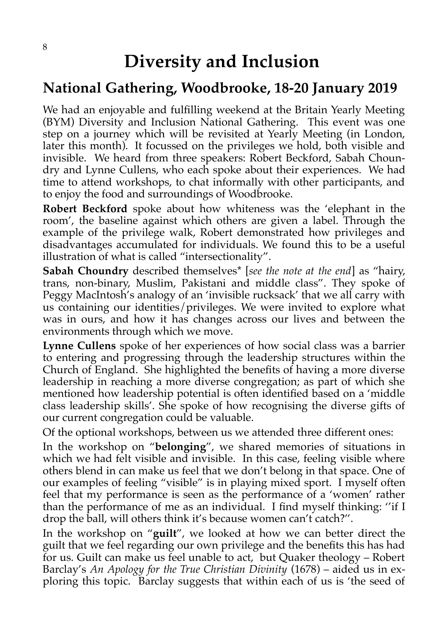# **Diversity and Inclusion**

# **National Gathering, Woodbrooke, 18-20 January 2019**

We had an enjoyable and fulfilling weekend at the Britain Yearly Meeting (BYM) Diversity and Inclusion National Gathering. This event was one step on a journey which will be revisited at Yearly Meeting (in London, later this month). It focussed on the privileges we hold, both visible and invisible. We heard from three speakers: Robert Beckford, Sabah Choundry and Lynne Cullens, who each spoke about their experiences. We had time to attend workshops, to chat informally with other participants, and to enjoy the food and surroundings of Woodbrooke.

**Robert Beckford** spoke about how whiteness was the 'elephant in the room', the baseline against which others are given a label. Through the example of the privilege walk, Robert demonstrated how privileges and disadvantages accumulated for individuals. We found this to be a useful illustration of what is called "intersectionality".

**Sabah Choundry** described themselves\* [*see the note at the end*] as "hairy, trans, non-binary, Muslim, Pakistani and middle class". They spoke of Peggy MacIntosh's analogy of an 'invisible rucksack' that we all carry with us containing our identities/privileges. We were invited to explore what was in ours, and how it has changes across our lives and between the environments through which we move.

**Lynne Cullens** spoke of her experiences of how social class was a barrier to entering and progressing through the leadership structures within the Church of England. She highlighted the benefits of having a more diverse leadership in reaching a more diverse congregation; as part of which she mentioned how leadership potential is often identified based on a 'middle class leadership skills'. She spoke of how recognising the diverse gifts of our current congregation could be valuable.

Of the optional workshops, between us we attended three different ones:

In the workshop on "**belonging**", we shared memories of situations in which we had felt visible and invisible. In this case, feeling visible where others blend in can make us feel that we don't belong in that space. One of our examples of feeling "visible" is in playing mixed sport. I myself often feel that my performance is seen as the performance of a 'women' rather than the performance of me as an individual. I find myself thinking: ''if I drop the ball, will others think it's because women can't catch?''.

In the workshop on "**guilt**", we looked at how we can better direct the guilt that we feel regarding our own privilege and the benefits this has had for us. Guilt can make us feel unable to act, but Quaker theology – Robert Barclay's *An Apology for the True Christian Divinity* (1678) – aided us in exploring this topic. Barclay suggests that within each of us is 'the seed of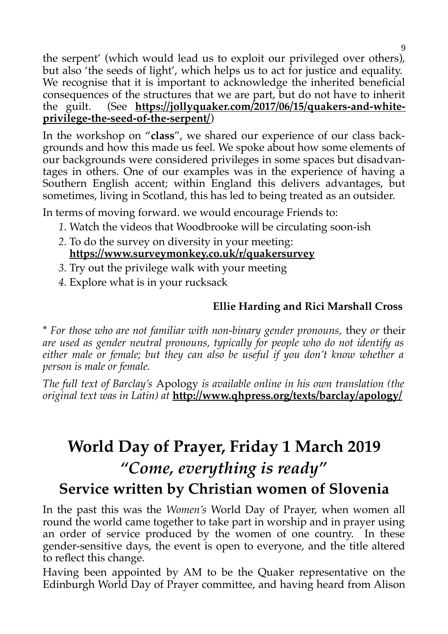the serpent' (which would lead us to exploit our privileged over others), but also 'the seeds of light', which helps us to act for justice and equality. We recognise that it is important to acknowledge the inherited beneficial consequences of the structures that we are part, but do not have to inherit the guilt. (See **https://jollyquaker.com/2017/06/15/quakers-and-whiteprivilege-the-seed-of-the-serpent/**)

In the workshop on "**class**", we shared our experience of our class backgrounds and how this made us feel. We spoke about how some elements of our backgrounds were considered privileges in some spaces but disadvantages in others. One of our examples was in the experience of having a Southern English accent; within England this delivers advantages, but sometimes, living in Scotland, this has led to being treated as an outsider.

In terms of moving forward. we would encourage Friends to:

- *1.* Watch the videos that Woodbrooke will be circulating soon-ish
- *2.* To do the survey on diversity in your meeting: **https://www.surveymonkey.co.uk/r/quakersurvey**
- *3.* Try out the privilege walk with your meeting
- *4.* Explore what is in your rucksack

# **Ellie Harding and Rici Marshall Cross**

\* *For those who are not familiar with non-binary gender pronouns,* they *or* their *are used as gender neutral pronouns, typically for people who do not identify as either male or female; but they can also be useful if you don't know whether a person is male or female.*

*The full text of Barclay's* Apology *is available online in his own translation (the original text was in Latin) at* **http://www.qhpress.org/texts/barclay/apology/**

# **World Day of Prayer, Friday 1 March 2019** *"Come, everything is ready"* **Service written by Christian women of Slovenia**

In the past this was the *Women's* World Day of Prayer, when women all round the world came together to take part in worship and in prayer using an order of service produced by the women of one country. In these gender-sensitive days, the event is open to everyone, and the title altered to reflect this change.

Having been appointed by AM to be the Quaker representative on the Edinburgh World Day of Prayer committee, and having heard from Alison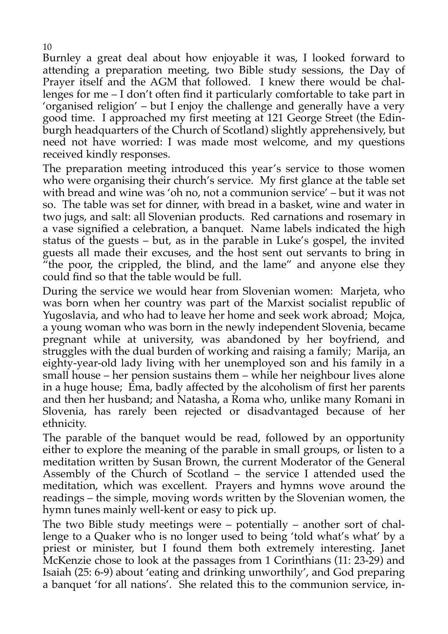Burnley a great deal about how enjoyable it was, I looked forward to attending a preparation meeting, two Bible study sessions, the Day of Prayer itself and the AGM that followed. I knew there would be challenges for me – I don't often find it particularly comfortable to take part in 'organised religion' – but I enjoy the challenge and generally have a very good time. I approached my first meeting at 121 George Street (the Edinburgh headquarters of the Church of Scotland) slightly apprehensively, but need not have worried: I was made most welcome, and my questions received kindly responses.

The preparation meeting introduced this year's service to those women who were organising their church's service. My first glance at the table set with bread and wine was 'oh no, not a communion service' – but it was not so. The table was set for dinner, with bread in a basket, wine and water in two jugs, and salt: all Slovenian products. Red carnations and rosemary in a vase signified a celebration, a banquet. Name labels indicated the high status of the guests – but, as in the parable in Luke's gospel, the invited guests all made their excuses, and the host sent out servants to bring in "the poor, the crippled, the blind, and the lame" and anyone else they could find so that the table would be full.

During the service we would hear from Slovenian women: Marjeta, who was born when her country was part of the Marxist socialist republic of Yugoslavia, and who had to leave her home and seek work abroad; Mojca, a young woman who was born in the newly independent Slovenia, became pregnant while at university, was abandoned by her boyfriend, and struggles with the dual burden of working and raising a family; Marija, an eighty-year-old lady living with her unemployed son and his family in a small house – her pension sustains them – while her neighbour lives alone in a huge house; Ema, badly affected by the alcoholism of first her parents and then her husband; and Natasha, a Roma who, unlike many Romani in Slovenia, has rarely been rejected or disadvantaged because of her ethnicity.

The parable of the banquet would be read, followed by an opportunity either to explore the meaning of the parable in small groups, or listen to a meditation written by Susan Brown, the current Moderator of the General Assembly of the Church of Scotland – the service I attended used the meditation, which was excellent. Prayers and hymns wove around the readings – the simple, moving words written by the Slovenian women, the hymn tunes mainly well-kent or easy to pick up.

The two Bible study meetings were – potentially – another sort of challenge to a Quaker who is no longer used to being 'told what's what' by a priest or minister, but I found them both extremely interesting. Janet McKenzie chose to look at the passages from 1 Corinthians (11: 23-29) and Isaiah (25: 6-9) about 'eating and drinking unworthily', and God preparing a banquet 'for all nations'. She related this to the communion service, in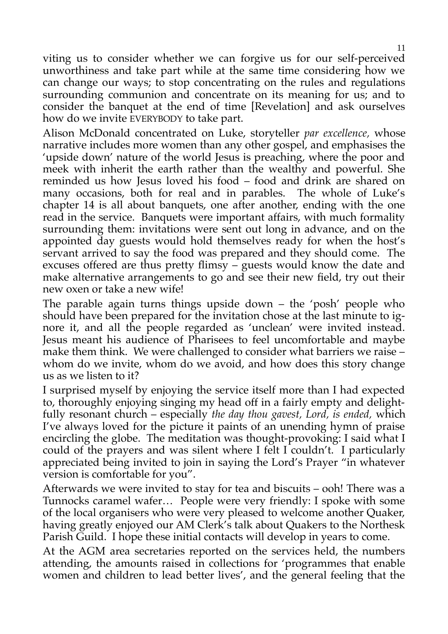viting us to consider whether we can forgive us for our self-perceived unworthiness and take part while at the same time considering how we can change our ways; to stop concentrating on the rules and regulations surrounding communion and concentrate on its meaning for us; and to consider the banquet at the end of time [Revelation] and ask ourselves how do we invite EVERYBODY to take part.

Alison McDonald concentrated on Luke, storyteller *par excellence,* whose narrative includes more women than any other gospel, and emphasises the 'upside down' nature of the world Jesus is preaching, where the poor and meek with inherit the earth rather than the wealthy and powerful. She reminded us how Jesus loved his food – food and drink are shared on many occasions, both for real and in parables. The whole of Luke's chapter 14 is all about banquets, one after another, ending with the one read in the service. Banquets were important affairs, with much formality surrounding them: invitations were sent out long in advance, and on the appointed day guests would hold themselves ready for when the host's servant arrived to say the food was prepared and they should come. The excuses offered are thus pretty flimsy – guests would know the date and make alternative arrangements to go and see their new field, try out their new oxen or take a new wife!

The parable again turns things upside down – the 'posh' people who should have been prepared for the invitation chose at the last minute to ignore it, and all the people regarded as 'unclean' were invited instead. Jesus meant his audience of Pharisees to feel uncomfortable and maybe make them think. We were challenged to consider what barriers we raise – whom do we invite, whom do we avoid, and how does this story change us as we listen to it?

I surprised myself by enjoying the service itself more than I had expected to, thoroughly enjoying singing my head off in a fairly empty and delightfully resonant church – especially *the day thou gavest, Lord, is ended,* which I've always loved for the picture it paints of an unending hymn of praise encircling the globe. The meditation was thought-provoking: I said what I could of the prayers and was silent where I felt I couldn't. I particularly appreciated being invited to join in saying the Lord's Prayer "in whatever version is comfortable for you".

Afterwards we were invited to stay for tea and biscuits – ooh! There was a Tunnocks caramel wafer… People were very friendly: I spoke with some of the local organisers who were very pleased to welcome another Quaker, having greatly enjoyed our AM Clerk's talk about Quakers to the Northesk Parish Guild. I hope these initial contacts will develop in years to come.

At the AGM area secretaries reported on the services held, the numbers attending, the amounts raised in collections for 'programmes that enable women and children to lead better lives', and the general feeling that the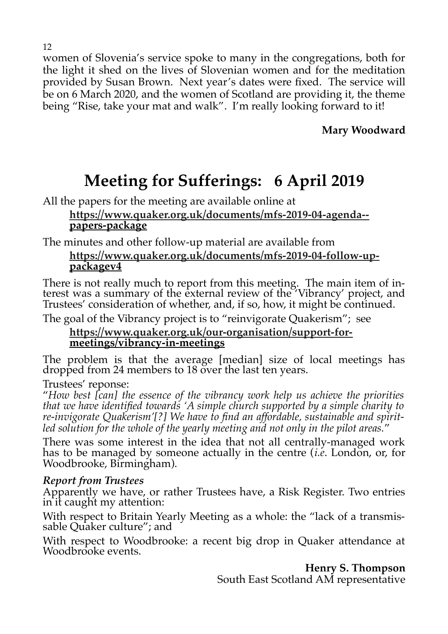women of Slovenia's service spoke to many in the congregations, both for the light it shed on the lives of Slovenian women and for the meditation provided by Susan Brown. Next year's dates were fixed. The service will be on 6 March 2020, and the women of Scotland are providing it, the theme being "Rise, take your mat and walk". I'm really looking forward to it!

**Mary Woodward**

# **Meeting for Sufferings: 6 April 2019**

All the papers for the meeting are available online at

#### **[https://www.quaker.org.uk/documents/mfs-2019-04-agenda-](https://www.quaker.org.uk/documents/mfs-2019-04-agenda--) papers-package**

The minutes and other follow-up material are available from

## **[https://www.quaker.org.uk/documents/mfs-2019-04-follow-up](https://www.quaker.org.uk/documents/mfs-2019-04-follow-up-)packagev4**

There is not really much to report from this meeting. The main item of interest was a summary of the external review of the 'Vibrancy' project, and Trustees' consideration of whether, and, if so, how, it might be continued.

The goal of the Vibrancy project is to "reinvigorate Quakerism"; see

#### **[https://www.quaker.org.uk/our-organisation/support-for](https://www.quaker.org.uk/our-organisation/support-for-)meetings/vibrancy-in-meetings**

The problem is that the average [median] size of local meetings has dropped from 24 members to 18 over the last ten years.

Trustees' reponse:

"*How best [can] the essence of the vibrancy work help us achieve the priorities that we have identified towards 'A simple church supported by a simple charity to re-invigorate Quakerism'[?] We have to find an affordable, sustainable and spiritled solution for the whole of the yearly meeting and not only in the pilot areas.*"

There was some interest in the idea that not all centrally-managed work has to be managed by someone actually in the centre (*i.e*. London, or, for Woodbrooke, Birmingham).

## *Report from Trustees*

Apparently we have, or rather Trustees have, a Risk Register. Two entries in it caught my attention:

With respect to Britain Yearly Meeting as a whole: the "lack of a transmissable Quaker culture"; and

With respect to Woodbrooke: a recent big drop in Quaker attendance at Woodbrooke events.

**Henry S. Thompson**

South East Scotland AM representative

#### 12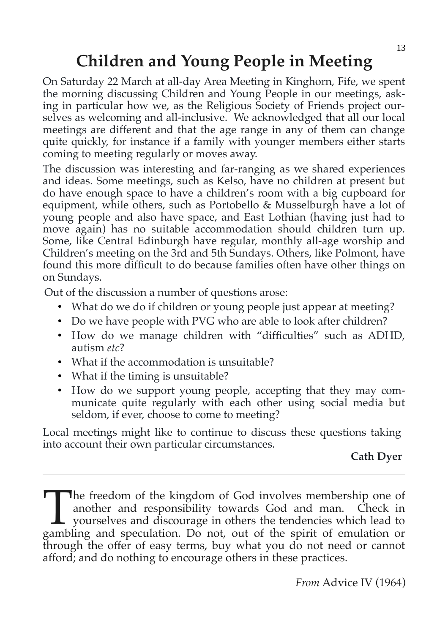# **Children and Young People in Meeting**

On Saturday 22 March at all-day Area Meeting in Kinghorn, Fife, we spent the morning discussing Children and Young People in our meetings, asking in particular how we, as the Religious Society of Friends project ourselves as welcoming and all-inclusive. We acknowledged that all our local meetings are different and that the age range in any of them can change quite quickly, for instance if a family with younger members either starts coming to meeting regularly or moves away.

The discussion was interesting and far-ranging as we shared experiences and ideas. Some meetings, such as Kelso, have no children at present but do have enough space to have a children's room with a big cupboard for equipment, while others, such as Portobello & Musselburgh have a lot of young people and also have space, and East Lothian (having just had to move again) has no suitable accommodation should children turn up. Some, like Central Edinburgh have regular, monthly all-age worship and Children's meeting on the 3rd and 5th Sundays. Others, like Polmont, have found this more difficult to do because families often have other things on on Sundays.

Out of the discussion a number of questions arose:

- What do we do if children or young people just appear at meeting?
- Do we have people with PVG who are able to look after children?
- How do we manage children with "difficulties" such as ADHD, autism *etc*?
- What if the accommodation is unsuitable?
- What if the timing is unsuitable?
- How do we support young people, accepting that they may communicate quite regularly with each other using social media but seldom, if ever, choose to come to meeting?

Local meetings might like to continue to discuss these questions taking into account their own particular circumstances.

## **Cath Dyer**

he freedom of the kingdom of God involves membership one of another and responsibility towards God and man. Check in yourselves and discourage in others the tendencies which lead to The freedom of the kingdom of God involves membership one of another and responsibility towards God and man. Check in yourselves and discourage in others the tendencies which lead to gambling and speculation. Do not, out o through the offer of easy terms, buy what you do not need or cannot afford; and do nothing to encourage others in these practices.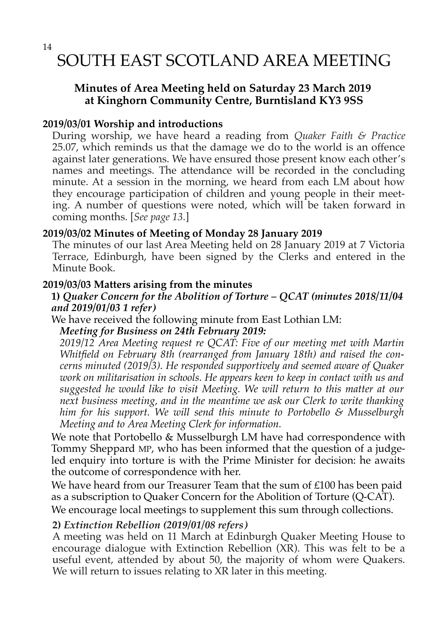# SOUTH EAST SCOTLAND AREA MEETING

#### **Minutes of Area Meeting held on Saturday 23 March 2019 at Kinghorn Community Centre, Burntisland KY3 9SS**

#### **2019/03/01 Worship and introductions**

During worship, we have heard a reading from *Quaker Faith & Practice* 25.07, which reminds us that the damage we do to the world is an offence against later generations. We have ensured those present know each other's names and meetings. The attendance will be recorded in the concluding minute. At a session in the morning, we heard from each LM about how they encourage participation of children and young people in their meeting. A number of questions were noted, which will be taken forward in coming months. [*See page 13.*]

#### **2019/03/02 Minutes of Meeting of Monday 28 January 2019**

The minutes of our last Area Meeting held on 28 January 2019 at 7 Victoria Terrace, Edinburgh, have been signed by the Clerks and entered in the Minute Book.

#### **2019/03/03 Matters arising from the minutes**

#### **1)** *Quaker Concern for the Abolition of Torture – QCAT (minutes 2018/11/04 and 2019/01/03 1 refer)*

We have received the following minute from East Lothian LM:

*Meeting for Business on 24th February 2019:* 

*2019/12 Area Meeting request re QCAT: Five of our meeting met with Martin Whitfield on February 8th (rearranged from January 18th) and raised the concerns minuted (2019/3). He responded supportively and seemed aware of Quaker work on militarisation in schools. He appears keen to keep in contact with us and suggested he would like to visit Meeting. We will return to this matter at our next business meeting, and in the meantime we ask our Clerk to write thanking him for his support. We will send this minute to Portobello & Musselburgh Meeting and to Area Meeting Clerk for information.* 

We note that Portobello & Musselburgh LM have had correspondence with Tommy Sheppard MP, who has been informed that the question of a judgeled enquiry into torture is with the Prime Minister for decision: he awaits the outcome of correspondence with her.

We have heard from our Treasurer Team that the sum of £100 has been paid as a subscription to Quaker Concern for the Abolition of Torture (Q-CAT).

We encourage local meetings to supplement this sum through collections.

#### **2)** *Extinction Rebellion (2019/01/08 refers)*

A meeting was held on 11 March at Edinburgh Quaker Meeting House to encourage dialogue with Extinction Rebellion (XR). This was felt to be a useful event, attended by about 50, the majority of whom were Quakers. We will return to issues relating to XR later in this meeting.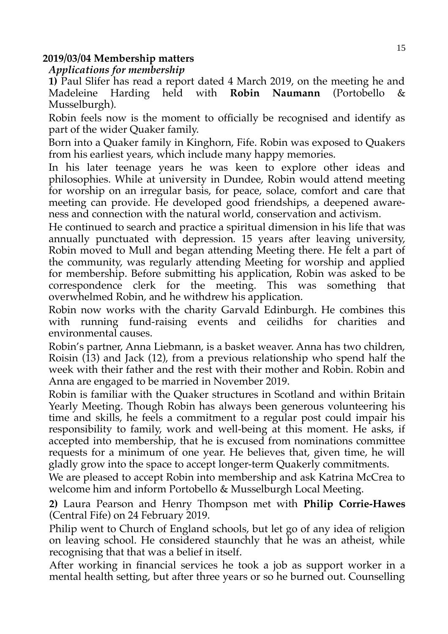#### **2019/03/04 Membership matters**

*Applications for membership* 

**1)** Paul Slifer has read a report dated 4 March 2019, on the meeting he and Madeleine Harding held with **Robin Naumann** (Portobello & Musselburgh).

Robin feels now is the moment to officially be recognised and identify as part of the wider Quaker family.

Born into a Quaker family in Kinghorn, Fife. Robin was exposed to Quakers from his earliest years, which include many happy memories.

In his later teenage years he was keen to explore other ideas and philosophies. While at university in Dundee, Robin would attend meeting for worship on an irregular basis, for peace, solace, comfort and care that meeting can provide. He developed good friendships, a deepened awareness and connection with the natural world, conservation and activism.

He continued to search and practice a spiritual dimension in his life that was annually punctuated with depression. 15 years after leaving university, Robin moved to Mull and began attending Meeting there. He felt a part of the community, was regularly attending Meeting for worship and applied for membership. Before submitting his application, Robin was asked to be correspondence clerk for the meeting. This was something that overwhelmed Robin, and he withdrew his application.

Robin now works with the charity Garvald Edinburgh. He combines this with running fund-raising events and ceilidhs for charities and environmental causes.

Robin's partner, Anna Liebmann, is a basket weaver. Anna has two children, Roisin (13) and Jack (12), from a previous relationship who spend half the week with their father and the rest with their mother and Robin. Robin and Anna are engaged to be married in November 2019.

Robin is familiar with the Quaker structures in Scotland and within Britain Yearly Meeting. Though Robin has always been generous volunteering his time and skills, he feels a commitment to a regular post could impair his responsibility to family, work and well-being at this moment. He asks, if accepted into membership, that he is excused from nominations committee requests for a minimum of one year. He believes that, given time, he will gladly grow into the space to accept longer-term Quakerly commitments.

We are pleased to accept Robin into membership and ask Katrina McCrea to welcome him and inform Portobello & Musselburgh Local Meeting.

**2)** Laura Pearson and Henry Thompson met with **Philip Corrie-Hawes** (Central Fife) on 24 February 2019.

Philip went to Church of England schools, but let go of any idea of religion on leaving school. He considered staunchly that he was an atheist, while recognising that that was a belief in itself.

After working in financial services he took a job as support worker in a mental health setting, but after three years or so he burned out. Counselling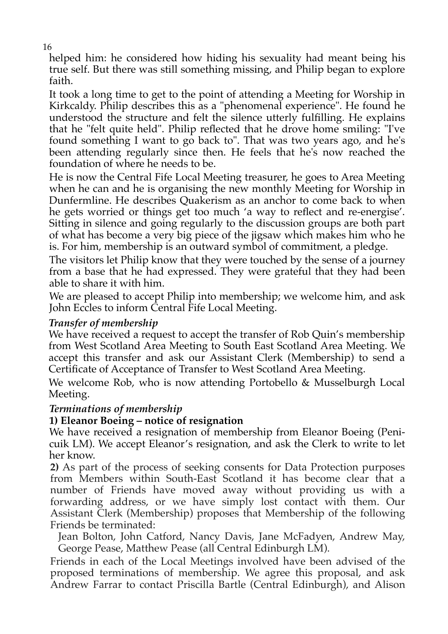helped him: he considered how hiding his sexuality had meant being his true self. But there was still something missing, and Philip began to explore faith.

It took a long time to get to the point of attending a Meeting for Worship in Kirkcaldy. Philip describes this as a "phenomenal experience". He found he understood the structure and felt the silence utterly fulfilling. He explains that he "felt quite held". Philip reflected that he drove home smiling: "I've found something I want to go back to". That was two years ago, and he's been attending regularly since then. He feels that he's now reached the foundation of where he needs to be.

He is now the Central Fife Local Meeting treasurer, he goes to Area Meeting when he can and he is organising the new monthly Meeting for Worship in Dunfermline. He describes Quakerism as an anchor to come back to when he gets worried or things get too much 'a way to reflect and re-energise'. Sitting in silence and going regularly to the discussion groups are both part of what has become a very big piece of the jigsaw which makes him who he is. For him, membership is an outward symbol of commitment, a pledge.

The visitors let Philip know that they were touched by the sense of a journey from a base that he had expressed. They were grateful that they had been able to share it with him.

We are pleased to accept Philip into membership; we welcome him, and ask John Eccles to inform Central Fife Local Meeting.

#### *Transfer of membership*

We have received a request to accept the transfer of Rob Quin's membership from West Scotland Area Meeting to South East Scotland Area Meeting. We accept this transfer and ask our Assistant Clerk (Membership) to send a Certificate of Acceptance of Transfer to West Scotland Area Meeting.

We welcome Rob, who is now attending Portobello & Musselburgh Local Meeting.

#### *Terminations of membership*

#### **1) Eleanor Boeing – notice of resignation**

We have received a resignation of membership from Eleanor Boeing (Penicuik LM). We accept Eleanor's resignation, and ask the Clerk to write to let her know.

**2)** As part of the process of seeking consents for Data Protection purposes from Members within South-East Scotland it has become clear that a number of Friends have moved away without providing us with a forwarding address, or we have simply lost contact with them. Our Assistant Clerk (Membership) proposes that Membership of the following Friends be terminated:

Jean Bolton, John Catford, Nancy Davis, Jane McFadyen, Andrew May, George Pease, Matthew Pease (all Central Edinburgh LM).

Friends in each of the Local Meetings involved have been advised of the proposed terminations of membership. We agree this proposal, and ask Andrew Farrar to contact Priscilla Bartle (Central Edinburgh), and Alison

16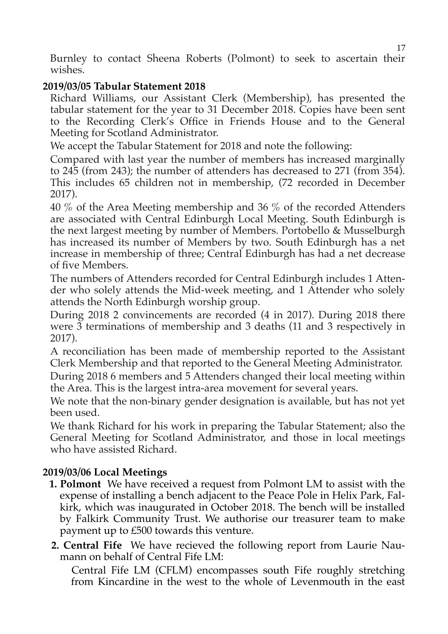Burnley to contact Sheena Roberts (Polmont) to seek to ascertain their wishes.

#### **2019/03/05 Tabular Statement 2018**

Richard Williams, our Assistant Clerk (Membership), has presented the tabular statement for the year to 31 December 2018. Copies have been sent to the Recording Clerk's Office in Friends House and to the General Meeting for Scotland Administrator.

We accept the Tabular Statement for 2018 and note the following:

Compared with last year the number of members has increased marginally to 245 (from 243); the number of attenders has decreased to 271 (from 354). This includes 65 children not in membership, (72 recorded in December 2017).

40 % of the Area Meeting membership and 36 % of the recorded Attenders are associated with Central Edinburgh Local Meeting. South Edinburgh is the next largest meeting by number of Members. Portobello & Musselburgh has increased its number of Members by two. South Edinburgh has a net increase in membership of three; Central Edinburgh has had a net decrease of five Members.

The numbers of Attenders recorded for Central Edinburgh includes 1 Attender who solely attends the Mid-week meeting, and 1 Attender who solely attends the North Edinburgh worship group.

During 2018 2 convincements are recorded (4 in 2017). During 2018 there were 3 terminations of membership and 3 deaths (11 and 3 respectively in 2017).

A reconciliation has been made of membership reported to the Assistant Clerk Membership and that reported to the General Meeting Administrator.

During 2018 6 members and 5 Attenders changed their local meeting within the Area. This is the largest intra-area movement for several years.

We note that the non-binary gender designation is available, but has not yet been used.

We thank Richard for his work in preparing the Tabular Statement; also the General Meeting for Scotland Administrator, and those in local meetings who have assisted Richard.

## **2019/03/06 Local Meetings**

- **1. Polmont** We have received a request from Polmont LM to assist with the expense of installing a bench adjacent to the Peace Pole in Helix Park, Falkirk, which was inaugurated in October 2018. The bench will be installed by Falkirk Community Trust. We authorise our treasurer team to make payment up to £500 towards this venture.
- **2. Central Fife** We have recieved the following report from Laurie Naumann on behalf of Central Fife LM:

Central Fife LM (CFLM) encompasses south Fife roughly stretching from Kincardine in the west to the whole of Levenmouth in the east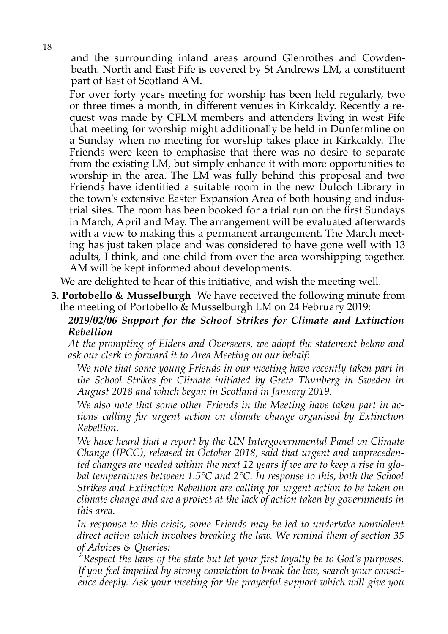and the surrounding inland areas around Glenrothes and Cowdenbeath. North and East Fife is covered by St Andrews LM, a constituent part of East of Scotland AM.

For over forty years meeting for worship has been held regularly, two or three times a month, in different venues in Kirkcaldy. Recently a request was made by CFLM members and attenders living in west Fife that meeting for worship might additionally be held in Dunfermline on a Sunday when no meeting for worship takes place in Kirkcaldy. The Friends were keen to emphasise that there was no desire to separate from the existing LM, but simply enhance it with more opportunities to worship in the area. The LM was fully behind this proposal and two Friends have identified a suitable room in the new Duloch Library in the town's extensive Easter Expansion Area of both housing and industrial sites. The room has been booked for a trial run on the first Sundays in March, April and May. The arrangement will be evaluated afterwards with a view to making this a permanent arrangement. The March meeting has just taken place and was considered to have gone well with 13 adults, I think, and one child from over the area worshipping together. AM will be kept informed about developments.

We are delighted to hear of this initiative, and wish the meeting well.

**3. Portobello & Musselburgh** We have received the following minute from the meeting of Portobello & Musselburgh LM on 24 February 2019:

*2019/02/06 Support for the School Strikes for Climate and Extinction Rebellion*

*At the prompting of Elders and Overseers, we adopt the statement below and ask our clerk to forward it to Area Meeting on our behalf:* 

*We note that some young Friends in our meeting have recently taken part in the School Strikes for Climate initiated by Greta Thunberg in Sweden in August 2018 and which began in Scotland in January 2019.* 

*We also note that some other Friends in the Meeting have taken part in actions calling for urgent action on climate change organised by Extinction Rebellion.* 

*We have heard that a report by the UN Intergovernmental Panel on Climate Change (IPCC), released in October 2018, said that urgent and unprecedented changes are needed within the next 12 years if we are to keep a rise in global temperatures between 1.5°C and 2°C. In response to this, both the School Strikes and Extinction Rebellion are calling for urgent action to be taken on climate change and are a protest at the lack of action taken by governments in this area.* 

*In response to this crisis, some Friends may be led to undertake nonviolent direct action which involves breaking the law. We remind them of section 35 of Advices & Queries:* 

*"Respect the laws of the state but let your first loyalty be to God's purposes. If you feel impelled by strong conviction to break the law, search your conscience deeply. Ask your meeting for the prayerful support which will give you*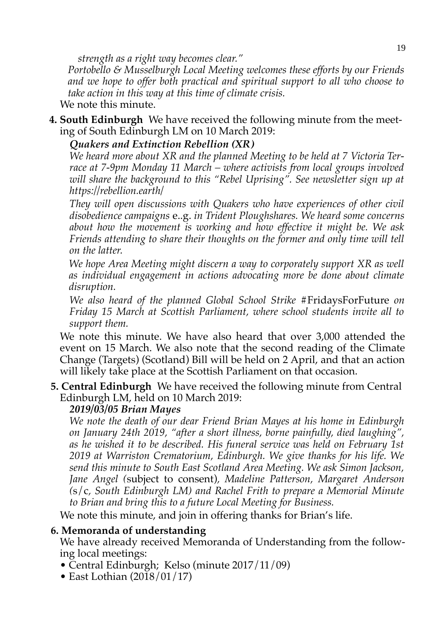*strength as a right way becomes clear."* 

*Portobello & Musselburgh Local Meeting welcomes these efforts by our Friends and we hope to offer both practical and spiritual support to all who choose to take action in this way at this time of climate crisis.* 

We note this minute.

**4. South Edinburgh** We have received the following minute from the meeting of South Edinburgh LM on 10 March 2019:

#### *Quakers and Extinction Rebellion (XR)*

*We heard more about XR and the planned Meeting to be held at 7 Victoria Terrace at 7-9pm Monday 11 March – where activists from local groups involved will share the background to this "Rebel Uprising". See newsletter sign up at https://rebellion.earth/* 

*They will open discussions with Quakers who have experiences of other civil disobedience campaigns* e..g. *in Trident Ploughshares. We heard some concerns about how the movement is working and how effective it might be. We ask Friends attending to share their thoughts on the former and only time will tell on the latter.* 

*We hope Area Meeting might discern a way to corporately support XR as well as individual engagement in actions advocating more be done about climate disruption.* 

*We also heard of the planned Global School Strike* #FridaysForFuture *on Friday 15 March at Scottish Parliament, where school students invite all to support them.* 

We note this minute. We have also heard that over 3,000 attended the event on 15 March. We also note that the second reading of the Climate Change (Targets) (Scotland) Bill will be held on 2 April, and that an action will likely take place at the Scottish Parliament on that occasion.

**5. Central Edinburgh** We have received the following minute from Central Edinburgh LM, held on 10 March 2019:

## *2019/03/05 Brian Mayes*

*We note the death of our dear Friend Brian Mayes at his home in Edinburgh on January 24th 2019, "after a short illness, borne painfully, died laughing", as he wished it to be described. His funeral service was held on February 1st 2019 at Warriston Crematorium, Edinburgh. We give thanks for his life. We send this minute to South East Scotland Area Meeting. We ask Simon Jackson, Jane Angel (*subject to consent)*, Madeline Patterson, Margaret Anderson (*s/c*, South Edinburgh LM) and Rachel Frith to prepare a Memorial Minute to Brian and bring this to a future Local Meeting for Business.* 

We note this minute, and join in offering thanks for Brian's life.

#### **6. Memoranda of understanding**

We have already received Memoranda of Understanding from the following local meetings:

- Central Edinburgh; Kelso (minute 2017/11/09)
- East Lothian (2018/01/17)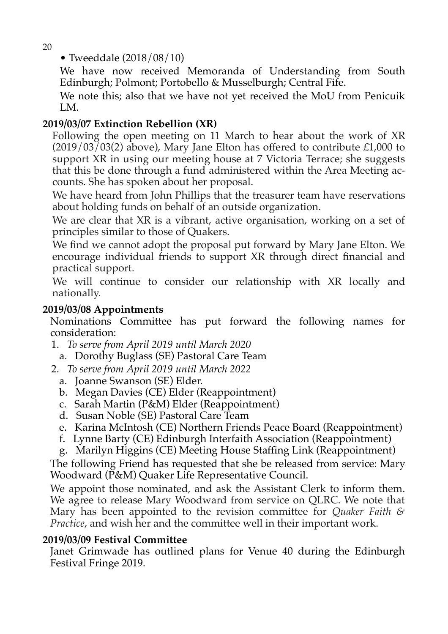20

• Tweeddale (2018/08/10)

We have now received Memoranda of Understanding from South Edinburgh; Polmont; Portobello & Musselburgh; Central Fife.

We note this; also that we have not yet received the MoU from Penicuik LM.

## **2019/03/07 Extinction Rebellion (XR)**

Following the open meeting on 11 March to hear about the work of XR  $(2019/03/03(2)$  above), Mary Jane Elton has offered to contribute £1,000 to support XR in using our meeting house at 7 Victoria Terrace; she suggests that this be done through a fund administered within the Area Meeting accounts. She has spoken about her proposal.

We have heard from John Phillips that the treasurer team have reservations about holding funds on behalf of an outside organization.

We are clear that XR is a vibrant, active organisation, working on a set of principles similar to those of Quakers.

We find we cannot adopt the proposal put forward by Mary Jane Elton. We encourage individual friends to support XR through direct financial and practical support.

We will continue to consider our relationship with XR locally and nationally.

#### **2019/03/08 Appointments**

Nominations Committee has put forward the following names for consideration:

- 1. *To serve from April 2019 until March 2020*
	- a. Dorothy Buglass (SE) Pastoral Care Team
- 2. *To serve from April 2019 until March 2022* 
	- a. Joanne Swanson (SE) Elder.
	- b. Megan Davies (CE) Elder (Reappointment)
	- c. Sarah Martin (P&M) Elder (Reappointment)
	- d. Susan Noble (SE) Pastoral Care Team
	- e. Karina McIntosh (CE) Northern Friends Peace Board (Reappointment)
	- f. Lynne Barty (CE) Edinburgh Interfaith Association (Reappointment)
	- g. Marilyn Higgins (CE) Meeting House Staffing Link (Reappointment)

The following Friend has requested that she be released from service: Mary Woodward (P&M) Quaker Life Representative Council.

We appoint those nominated, and ask the Assistant Clerk to inform them. We agree to release Mary Woodward from service on QLRC. We note that Mary has been appointed to the revision committee for *Quaker Faith & Practice*, and wish her and the committee well in their important work.

#### **2019/03/09 Festival Committee**

Janet Grimwade has outlined plans for Venue 40 during the Edinburgh Festival Fringe 2019.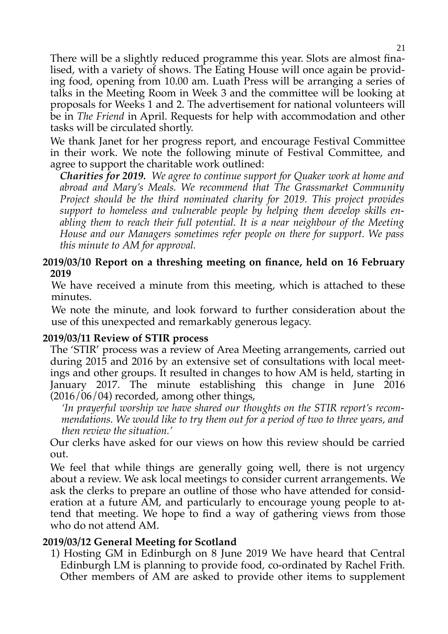There will be a slightly reduced programme this year. Slots are almost finalised, with a variety of shows. The Eating House will once again be providing food, opening from 10.00 am. Luath Press will be arranging a series of talks in the Meeting Room in Week 3 and the committee will be looking at proposals for Weeks 1 and 2. The advertisement for national volunteers will be in *The Friend* in April. Requests for help with accommodation and other tasks will be circulated shortly.

We thank Janet for her progress report, and encourage Festival Committee in their work. We note the following minute of Festival Committee, and agree to support the charitable work outlined:

*Charities for 2019. We agree to continue support for Quaker work at home and abroad and Mary's Meals. We recommend that The Grassmarket Community Project should be the third nominated charity for 2019. This project provides support to homeless and vulnerable people by helping them develop skills enabling them to reach their full potential. It is a near neighbour of the Meeting House and our Managers sometimes refer people on there for support. We pass this minute to AM for approval.* 

#### **2019/03/10 Report on a threshing meeting on finance, held on 16 February 2019**

We have received a minute from this meeting, which is attached to these minutes.

We note the minute, and look forward to further consideration about the use of this unexpected and remarkably generous legacy.

#### **2019/03/11 Review of STIR process**

The 'STIR' process was a review of Area Meeting arrangements, carried out during 2015 and 2016 by an extensive set of consultations with local meetings and other groups. It resulted in changes to how AM is held, starting in January 2017. The minute establishing this change in June 2016  $(2016/06/04)$  recorded, among other things,

*'In prayerful worship we have shared our thoughts on the STIR report's recommendations. We would like to try them out for a period of two to three years, and then review the situation.'* 

Our clerks have asked for our views on how this review should be carried out.

We feel that while things are generally going well, there is not urgency about a review. We ask local meetings to consider current arrangements. We ask the clerks to prepare an outline of those who have attended for consideration at a future AM, and particularly to encourage young people to attend that meeting. We hope to find a way of gathering views from those who do not attend AM.

#### **2019/03/12 General Meeting for Scotland**

1) Hosting GM in Edinburgh on 8 June 2019 We have heard that Central Edinburgh LM is planning to provide food, co-ordinated by Rachel Frith. Other members of AM are asked to provide other items to supplement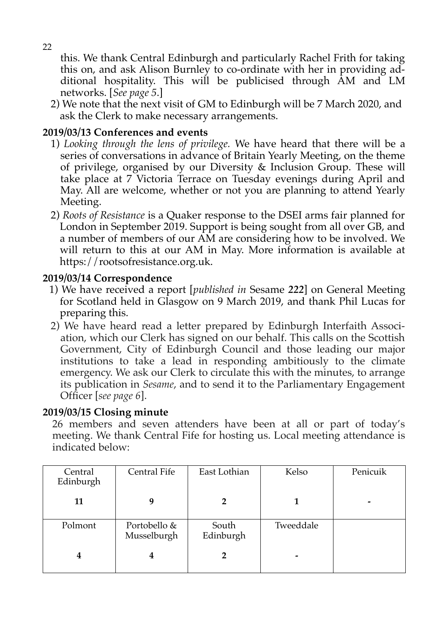this. We thank Central Edinburgh and particularly Rachel Frith for taking this on, and ask Alison Burnley to co-ordinate with her in providing additional hospitality. This will be publicised through AM and LM networks. [*See page 5*.]

2) We note that the next visit of GM to Edinburgh will be 7 March 2020, and ask the Clerk to make necessary arrangements.

#### **2019/03/13 Conferences and events**

- 1) *Looking through the lens of privilege.* We have heard that there will be a series of conversations in advance of Britain Yearly Meeting, on the theme of privilege, organised by our Diversity & Inclusion Group. These will take place at 7 Victoria Terrace on Tuesday evenings during April and May. All are welcome, whether or not you are planning to attend Yearly Meeting.
- 2) *Roots of Resistance* is a Quaker response to the DSEI arms fair planned for London in September 2019. Support is being sought from all over GB, and a number of members of our AM are considering how to be involved. We will return to this at our AM in May. More information is available at https://rootsofresistance.org.uk.

#### **2019/03/14 Correspondence**

- 1) We have received a report [*published in* Sesame *222*] on General Meeting for Scotland held in Glasgow on 9 March 2019, and thank Phil Lucas for preparing this.
- 2) We have heard read a letter prepared by Edinburgh Interfaith Association, which our Clerk has signed on our behalf. This calls on the Scottish Government, City of Edinburgh Council and those leading our major institutions to take a lead in responding ambitiously to the climate emergency. We ask our Clerk to circulate this with the minutes, to arrange its publication in *Sesame*, and to send it to the Parliamentary Engagement Officer [*see page 6*].

#### **2019/03/15 Closing minute**

26 members and seven attenders have been at all or part of today's meeting. We thank Central Fife for hosting us. Local meeting attendance is indicated below:

| Central<br>Edinburgh | Central Fife                | East Lothian       | Kelso     | Penicuik |
|----------------------|-----------------------------|--------------------|-----------|----------|
| 11                   | 9                           |                    |           |          |
| Polmont              | Portobello &<br>Musselburgh | South<br>Edinburgh | Tweeddale |          |
| 4                    | 4                           |                    |           |          |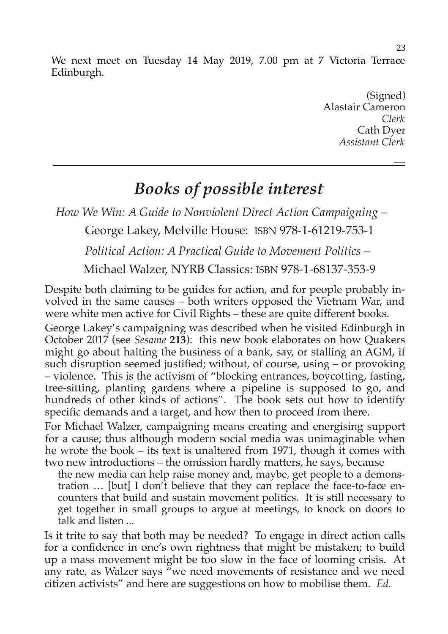We next meet on Tuesday 14 May 2019, 7.00 pm at 7 Victoria Terrace Edinburgh.

> (Signed) Alastair Cameron *Clerk* Cath Dyer *Assistant Clerk*

# *Books of possible interest*

*How We Win: A Guide to Nonviolent Direct Action Campaigning –* 

George Lakey, Melville House: ISBN 978-1-61219-753-1

*Political Action: A Practical Guide to Movement Politics –* 

Michael Walzer, NYRB Classics: ISBN 978-1-68137-353-9

Despite both claiming to be guides for action, and for people probably involved in the same causes – both writers opposed the Vietnam War, and were white men active for Civil Rights – these are quite different books.

George Lakey's campaigning was described when he visited Edinburgh in October 2017 (see *Sesame* **213**): this new book elaborates on how Quakers might go about halting the business of a bank, say, or stalling an AGM, if such disruption seemed justified; without, of course, using – or provoking – violence. This is the activism of "blocking entrances, boycotting, fasting, tree-sitting, planting gardens where a pipeline is supposed to go, and hundreds of other kinds of actions". The book sets out how to identify specific demands and a target, and how then to proceed from there.

For Michael Walzer, campaigning means creating and energising support for a cause; thus although modern social media was unimaginable when he wrote the book – its text is unaltered from 1971, though it comes with two new introductions – the omission hardly matters, he says, because

the new media can help raise money and, maybe, get people to a demonstration … [but] I don't believe that they can replace the face-to-face encounters that build and sustain movement politics. It is still necessary to get together in small groups to argue at meetings, to knock on doors to talk and listen ...

Is it trite to say that both may be needed? To engage in direct action calls for a confidence in one's own rightness that might be mistaken; to build up a mass movement might be too slow in the face of looming crisis. At any rate, as Walzer says "we need movements of resistance and we need citizen activists" and here are suggestions on how to mobilise them. *Ed.*

*\_\_\_\_\_*